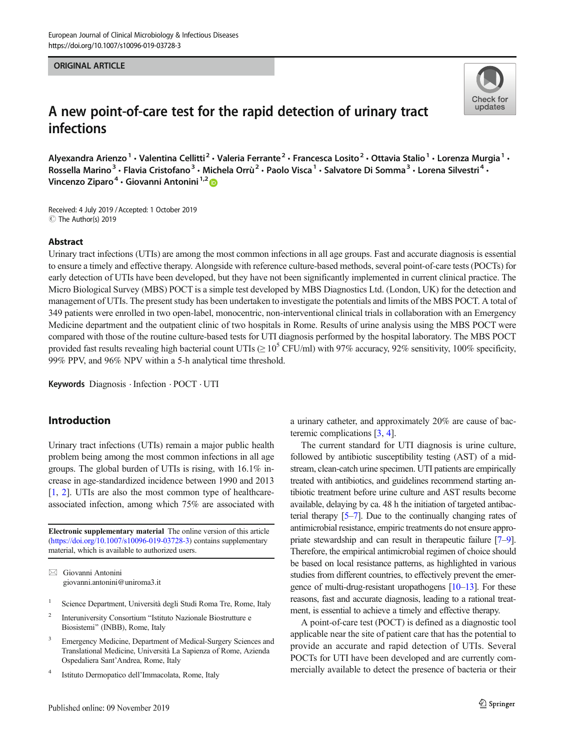#### ORIGINAL ARTICLE



# A new point-of-care test for the rapid detection of urinary tract infections

Alyexandra Arienzo<sup>1</sup> • Valentina Cellitti<sup>2</sup> • Valeria Ferrante<sup>2</sup> • Francesca Losito<sup>2</sup> • Ottavia Stalio<sup>1</sup> • Lorenza Murgia<sup>1</sup> • Rossella Marino<sup>3</sup> · Flavia Cristofano<sup>3</sup> · Michela Orrù<sup>2</sup> · Paolo Visca<sup>1</sup> · Salvatore Di Somma<sup>3</sup> · Lorena Silvestri<sup>4</sup> · Vincenzo Ziparo<sup>4</sup> · Giovanni Antonini<sup>1,2</sup>

Received: 4 July 2019 /Accepted: 1 October 2019  $\circledcirc$  The Author(s) 2019

#### Abstract

Urinary tract infections (UTIs) are among the most common infections in all age groups. Fast and accurate diagnosis is essential to ensure a timely and effective therapy. Alongside with reference culture-based methods, several point-of-care tests (POCTs) for early detection of UTIs have been developed, but they have not been significantly implemented in current clinical practice. The Micro Biological Survey (MBS) POCT is a simple test developed by MBS Diagnostics Ltd. (London, UK) for the detection and management of UTIs. The present study has been undertaken to investigate the potentials and limits of the MBS POCT. A total of 349 patients were enrolled in two open-label, monocentric, non-interventional clinical trials in collaboration with an Emergency Medicine department and the outpatient clinic of two hospitals in Rome. Results of urine analysis using the MBS POCT were compared with those of the routine culture-based tests for UTI diagnosis performed by the hospital laboratory. The MBS POCT provided fast results revealing high bacterial count UTIs ( $\geq 10^5$  CFU/ml) with 97% accuracy, 92% sensitivity, 100% specificity, 99% PPV, and 96% NPV within a 5-h analytical time threshold.

Keywords Diagnosis . Infection . POCT . UTI

# Introduction

Urinary tract infections (UTIs) remain a major public health problem being among the most common infections in all age groups. The global burden of UTIs is rising, with 16.1% increase in age-standardized incidence between 1990 and 2013 [\[1](#page-6-0), [2](#page-6-0)]. UTIs are also the most common type of healthcareassociated infection, among which 75% are associated with

Electronic supplementary material The online version of this article ([https://doi.org/10.1007/s10096-019-03728-3\)](https://doi.org/10.1007/s10096-019-03728-3) contains supplementary material, which is available to authorized users.

 $\boxtimes$  Giovanni Antonini [giovanni.antonini@uniroma3.it](mailto:giovanni.antonini@uniroma3.it)

- <sup>1</sup> Science Department, Università degli Studi Roma Tre, Rome, Italy
- <sup>2</sup> Interuniversity Consortium "Istituto Nazionale Biostrutture e Biosistemi^ (INBB), Rome, Italy
- <sup>3</sup> Emergency Medicine, Department of Medical-Surgery Sciences and Translational Medicine, Università La Sapienza of Rome, Azienda Ospedaliera Sant'Andrea, Rome, Italy
- <sup>4</sup> Istituto Dermopatico dell'Immacolata, Rome, Italy

a urinary catheter, and approximately 20% are cause of bacteremic complications [\[3](#page-6-0), [4](#page-6-0)].

The current standard for UTI diagnosis is urine culture, followed by antibiotic susceptibility testing (AST) of a midstream, clean-catch urine specimen. UTI patients are empirically treated with antibiotics, and guidelines recommend starting antibiotic treatment before urine culture and AST results become available, delaying by ca. 48 h the initiation of targeted antibacterial therapy [\[5](#page-6-0)–[7](#page-6-0)]. Due to the continually changing rates of antimicrobial resistance, empiric treatments do not ensure appropriate stewardship and can result in therapeutic failure [\[7](#page-6-0)–[9\]](#page-6-0). Therefore, the empirical antimicrobial regimen of choice should be based on local resistance patterns, as highlighted in various studies from different countries, to effectively prevent the emergence of multi-drug-resistant uropathogens  $[10-13]$  $[10-13]$  $[10-13]$ . For these reasons, fast and accurate diagnosis, leading to a rational treatment, is essential to achieve a timely and effective therapy.

A point-of-care test (POCT) is defined as a diagnostic tool applicable near the site of patient care that has the potential to provide an accurate and rapid detection of UTIs. Several POCTs for UTI have been developed and are currently commercially available to detect the presence of bacteria or their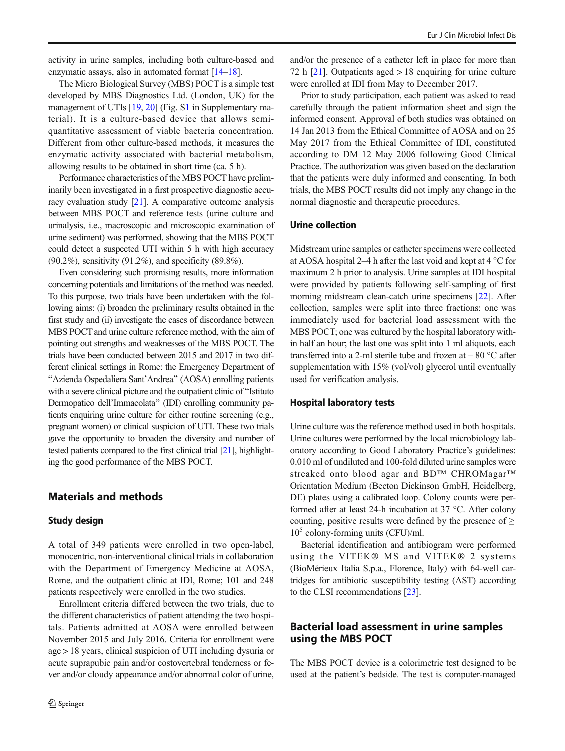activity in urine samples, including both culture-based and enzymatic assays, also in automated format [\[14](#page-6-0)–[18](#page-7-0)].

The Micro Biological Survey (MBS) POCT is a simple test developed by MBS Diagnostics Ltd. (London, UK) for the management of UTIs [\[19,](#page-7-0) [20\]](#page-7-0) (Fig. S1 in Supplementary material). It is a culture-based device that allows semiquantitative assessment of viable bacteria concentration. Different from other culture-based methods, it measures the enzymatic activity associated with bacterial metabolism, allowing results to be obtained in short time (ca. 5 h).

Performance characteristics of the MBS POCT have preliminarily been investigated in a first prospective diagnostic accuracy evaluation study [[21](#page-7-0)]. A comparative outcome analysis between MBS POCT and reference tests (urine culture and urinalysis, i.e., macroscopic and microscopic examination of urine sediment) was performed, showing that the MBS POCT could detect a suspected UTI within 5 h with high accuracy (90.2%), sensitivity (91.2%), and specificity (89.8%).

Even considering such promising results, more information concerning potentials and limitations of the method was needed. To this purpose, two trials have been undertaken with the following aims: (i) broaden the preliminary results obtained in the first study and (ii) investigate the cases of discordance between MBS POCT and urine culture reference method, with the aim of pointing out strengths and weaknesses of the MBS POCT. The trials have been conducted between 2015 and 2017 in two different clinical settings in Rome: the Emergency Department of BAzienda Ospedaliera Sant'Andrea^ (AOSA) enrolling patients with a severe clinical picture and the outpatient clinic of "Istituto" Dermopatico dell'Immacolata^ (IDI) enrolling community patients enquiring urine culture for either routine screening (e.g., pregnant women) or clinical suspicion of UTI. These two trials gave the opportunity to broaden the diversity and number of tested patients compared to the first clinical trial [\[21\]](#page-7-0), highlighting the good performance of the MBS POCT.

## Materials and methods

#### Study design

A total of 349 patients were enrolled in two open-label, monocentric, non-interventional clinical trials in collaboration with the Department of Emergency Medicine at AOSA, Rome, and the outpatient clinic at IDI, Rome; 101 and 248 patients respectively were enrolled in the two studies.

Enrollment criteria differed between the two trials, due to the different characteristics of patient attending the two hospitals. Patients admitted at AOSA were enrolled between November 2015 and July 2016. Criteria for enrollment were age > 18 years, clinical suspicion of UTI including dysuria or acute suprapubic pain and/or costovertebral tenderness or fever and/or cloudy appearance and/or abnormal color of urine,

and/or the presence of a catheter left in place for more than 72 h  $[21]$  $[21]$  $[21]$ . Outpatients aged  $> 18$  enquiring for urine culture were enrolled at IDI from May to December 2017.

Prior to study participation, each patient was asked to read carefully through the patient information sheet and sign the informed consent. Approval of both studies was obtained on 14 Jan 2013 from the Ethical Committee of AOSA and on 25 May 2017 from the Ethical Committee of IDI, constituted according to DM 12 May 2006 following Good Clinical Practice. The authorization was given based on the declaration that the patients were duly informed and consenting. In both trials, the MBS POCT results did not imply any change in the normal diagnostic and therapeutic procedures.

#### Urine collection

Midstream urine samples or catheter specimens were collected at AOSA hospital 2–4 h after the last void and kept at 4 °C for maximum 2 h prior to analysis. Urine samples at IDI hospital were provided by patients following self-sampling of first morning midstream clean-catch urine specimens [\[22\]](#page-7-0). After collection, samples were split into three fractions: one was immediately used for bacterial load assessment with the MBS POCT; one was cultured by the hospital laboratory within half an hour; the last one was split into 1 ml aliquots, each transferred into a 2-ml sterile tube and frozen at − 80 °C after supplementation with 15% (vol/vol) glycerol until eventually used for verification analysis.

#### Hospital laboratory tests

Urine culture was the reference method used in both hospitals. Urine cultures were performed by the local microbiology laboratory according to Good Laboratory Practice's guidelines: 0.010 ml of undiluted and 100-fold diluted urine samples were streaked onto blood agar and BD™ CHROMagar™ Orientation Medium (Becton Dickinson GmbH, Heidelberg, DE) plates using a calibrated loop. Colony counts were performed after at least 24-h incubation at 37 °C. After colony counting, positive results were defined by the presence of  $\geq$  $10<sup>5</sup>$  colony-forming units (CFU)/ml.

Bacterial identification and antibiogram were performed using the VITEK® MS and VITEK® 2 systems (BioMérieux Italia S.p.a., Florence, Italy) with 64-well cartridges for antibiotic susceptibility testing (AST) according to the CLSI recommendations [\[23\]](#page-7-0).

# Bacterial load assessment in urine samples using the MBS POCT

The MBS POCT device is a colorimetric test designed to be used at the patient's bedside. The test is computer-managed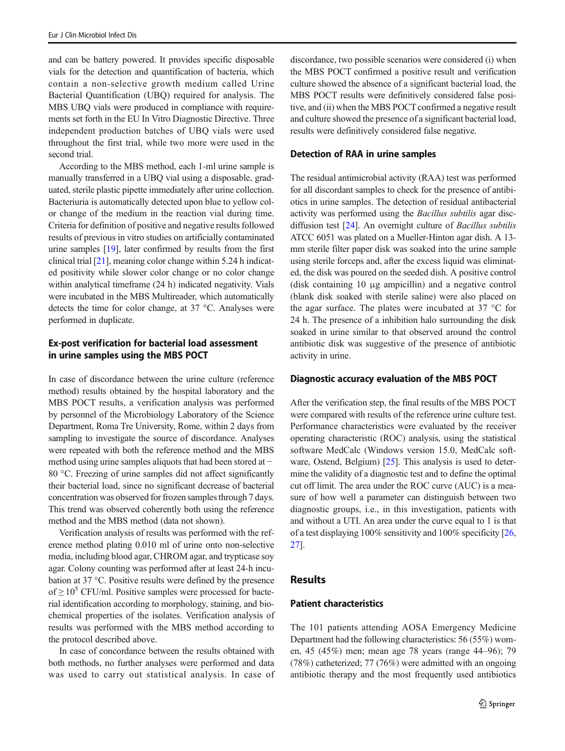and can be battery powered. It provides specific disposable vials for the detection and quantification of bacteria, which contain a non-selective growth medium called Urine Bacterial Quantification (UBQ) required for analysis. The MBS UBQ vials were produced in compliance with requirements set forth in the EU In Vitro Diagnostic Directive. Three independent production batches of UBQ vials were used throughout the first trial, while two more were used in the second trial.

According to the MBS method, each 1-ml urine sample is manually transferred in a UBQ vial using a disposable, graduated, sterile plastic pipette immediately after urine collection. Bacteriuria is automatically detected upon blue to yellow color change of the medium in the reaction vial during time. Criteria for definition of positive and negative results followed results of previous in vitro studies on artificially contaminated urine samples [\[19\]](#page-7-0), later confirmed by results from the first clinical trial [[21\]](#page-7-0), meaning color change within 5.24 h indicated positivity while slower color change or no color change within analytical timeframe (24 h) indicated negativity. Vials were incubated in the MBS Multireader, which automatically detects the time for color change, at 37 °C. Analyses were performed in duplicate.

## Ex-post verification for bacterial load assessment in urine samples using the MBS POCT

In case of discordance between the urine culture (reference method) results obtained by the hospital laboratory and the MBS POCT results, a verification analysis was performed by personnel of the Microbiology Laboratory of the Science Department, Roma Tre University, Rome, within 2 days from sampling to investigate the source of discordance. Analyses were repeated with both the reference method and the MBS method using urine samples aliquots that had been stored at − 80 °C. Freezing of urine samples did not affect significantly their bacterial load, since no significant decrease of bacterial concentration was observed for frozen samples through 7 days. This trend was observed coherently both using the reference method and the MBS method (data not shown).

Verification analysis of results was performed with the reference method plating 0.010 ml of urine onto non-selective media, including blood agar, CHROM agar, and trypticase soy agar. Colony counting was performed after at least 24-h incubation at 37 °C. Positive results were defined by the presence of  $\geq 10^5$  CFU/ml. Positive samples were processed for bacterial identification according to morphology, staining, and biochemical properties of the isolates. Verification analysis of results was performed with the MBS method according to the protocol described above.

In case of concordance between the results obtained with both methods, no further analyses were performed and data was used to carry out statistical analysis. In case of discordance, two possible scenarios were considered (i) when the MBS POCT confirmed a positive result and verification culture showed the absence of a significant bacterial load, the MBS POCT results were definitively considered false positive, and (ii) when the MBS POCT confirmed a negative result and culture showed the presence of a significant bacterial load, results were definitively considered false negative.

#### Detection of RAA in urine samples

The residual antimicrobial activity (RAA) test was performed for all discordant samples to check for the presence of antibiotics in urine samples. The detection of residual antibacterial activity was performed using the Bacillus subtilis agar disc-diffusion test [\[24](#page-7-0)]. An overnight culture of *Bacillus subtilis* ATCC 6051 was plated on a Mueller-Hinton agar dish. A 13 mm sterile filter paper disk was soaked into the urine sample using sterile forceps and, after the excess liquid was eliminated, the disk was poured on the seeded dish. A positive control (disk containing 10 μg ampicillin) and a negative control (blank disk soaked with sterile saline) were also placed on the agar surface. The plates were incubated at 37 °C for 24 h. The presence of a inhibition halo surrounding the disk soaked in urine similar to that observed around the control antibiotic disk was suggestive of the presence of antibiotic activity in urine.

#### Diagnostic accuracy evaluation of the MBS POCT

After the verification step, the final results of the MBS POCT were compared with results of the reference urine culture test. Performance characteristics were evaluated by the receiver operating characteristic (ROC) analysis, using the statistical software MedCalc (Windows version 15.0, MedCalc soft-ware, Ostend, Belgium) [[25\]](#page-7-0). This analysis is used to determine the validity of a diagnostic test and to define the optimal cut off limit. The area under the ROC curve (AUC) is a measure of how well a parameter can distinguish between two diagnostic groups, i.e., in this investigation, patients with and without a UTI. An area under the curve equal to 1 is that of a test displaying 100% sensitivity and 100% specificity [\[26,](#page-7-0) [27\]](#page-7-0).

### Results

#### Patient characteristics

The 101 patients attending AOSA Emergency Medicine Department had the following characteristics: 56 (55%) women, 45 (45%) men; mean age 78 years (range 44–96); 79 (78%) catheterized; 77 (76%) were admitted with an ongoing antibiotic therapy and the most frequently used antibiotics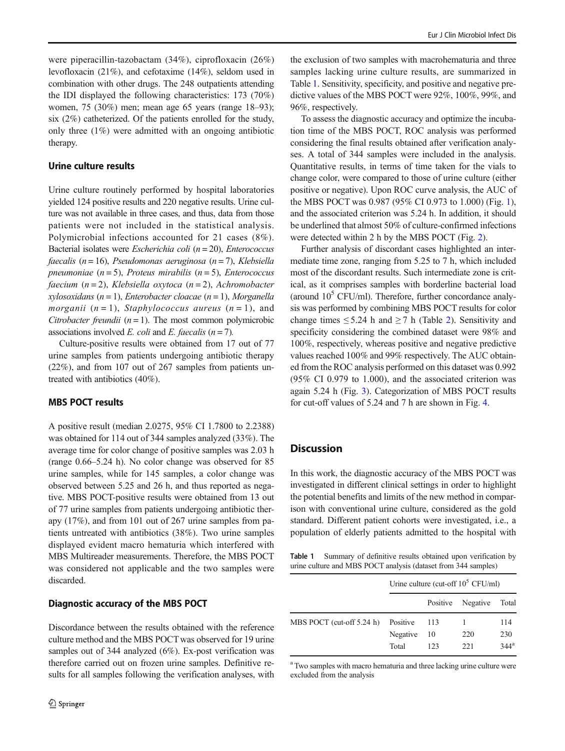were piperacillin-tazobactam (34%), ciprofloxacin (26%) levofloxacin (21%), and cefotaxime (14%), seldom used in combination with other drugs. The 248 outpatients attending the IDI displayed the following characteristics: 173 (70%) women, 75 (30%) men; mean age 65 years (range 18–93); six (2%) catheterized. Of the patients enrolled for the study, only three (1%) were admitted with an ongoing antibiotic therapy.

#### Urine culture results

Urine culture routinely performed by hospital laboratories yielded 124 positive results and 220 negative results. Urine culture was not available in three cases, and thus, data from those patients were not included in the statistical analysis. Polymicrobial infections accounted for 21 cases (8%). Bacterial isolates were *Escherichia coli* ( $n = 20$ ), *Enterococcus* faecalis ( $n = 16$ ), Pseudomonas aeruginosa ( $n = 7$ ), Klebsiella pneumoniae  $(n=5)$ , Proteus mirabilis  $(n=5)$ , Enterococcus faecium  $(n=2)$ , Klebsiella oxytoca  $(n=2)$ , Achromobacter xylosoxidans ( $n = 1$ ), Enterobacter cloacae ( $n = 1$ ), Morganella morganii  $(n = 1)$ , Staphylococcus aureus  $(n = 1)$ , and Citrobacter freundii  $(n = 1)$ . The most common polymicrobic associations involved E. coli and E. faecalis  $(n = 7)$ .

Culture-positive results were obtained from 17 out of 77 urine samples from patients undergoing antibiotic therapy (22%), and from 107 out of 267 samples from patients untreated with antibiotics (40%).

#### MBS POCT results

A positive result (median 2.0275, 95% CI 1.7800 to 2.2388) was obtained for 114 out of 344 samples analyzed (33%). The average time for color change of positive samples was 2.03 h (range 0.66–5.24 h). No color change was observed for 85 urine samples, while for 145 samples, a color change was observed between 5.25 and 26 h, and thus reported as negative. MBS POCT-positive results were obtained from 13 out of 77 urine samples from patients undergoing antibiotic therapy (17%), and from 101 out of 267 urine samples from patients untreated with antibiotics (38%). Two urine samples displayed evident macro hematuria which interfered with MBS Multireader measurements. Therefore, the MBS POCT was considered not applicable and the two samples were discarded.

#### Diagnostic accuracy of the MBS POCT

Discordance between the results obtained with the reference culture method and the MBS POCT was observed for 19 urine samples out of 344 analyzed (6%). Ex-post verification was therefore carried out on frozen urine samples. Definitive results for all samples following the verification analyses, with

the exclusion of two samples with macrohematuria and three samples lacking urine culture results, are summarized in Table 1. Sensitivity, specificity, and positive and negative predictive values of the MBS POCT were 92%, 100%, 99%, and 96%, respectively.

To assess the diagnostic accuracy and optimize the incubation time of the MBS POCT, ROC analysis was performed considering the final results obtained after verification analyses. A total of 344 samples were included in the analysis. Quantitative results, in terms of time taken for the vials to change color, were compared to those of urine culture (either positive or negative). Upon ROC curve analysis, the AUC of the MBS POCT was 0.987 (95% CI 0.973 to 1.000) (Fig. [1\)](#page-4-0), and the associated criterion was 5.24 h. In addition, it should be underlined that almost 50% of culture-confirmed infections were detected within 2 h by the MBS POCT (Fig. [2\)](#page-4-0).

Further analysis of discordant cases highlighted an intermediate time zone, ranging from 5.25 to 7 h, which included most of the discordant results. Such intermediate zone is critical, as it comprises samples with borderline bacterial load (around  $10^5$  CFU/ml). Therefore, further concordance analysis was performed by combining MBS POCT results for color change times  $\leq 5.24$  $\leq 5.24$  $\leq 5.24$  h and  $\geq 7$  h (Table 2). Sensitivity and specificity considering the combined dataset were 98% and 100%, respectively, whereas positive and negative predictive values reached 100% and 99% respectively. The AUC obtained from the ROC analysis performed on this dataset was 0.992 (95% CI 0.979 to 1.000), and the associated criterion was again 5.24 h (Fig. [3](#page-5-0)). Categorization of MBS POCT results for cut-off values of 5.24 and 7 h are shown in Fig. [4.](#page-5-0)

## **Discussion**

In this work, the diagnostic accuracy of the MBS POCT was investigated in different clinical settings in order to highlight the potential benefits and limits of the new method in comparison with conventional urine culture, considered as the gold standard. Different patient cohorts were investigated, i.e., a population of elderly patients admitted to the hospital with

Table 1 Summary of definitive results obtained upon verification by urine culture and MBS POCT analysis (dataset from 344 samples)

|                             | Urine culture (cut-off $10^5$ CFU/ml) |          |          |         |  |
|-----------------------------|---------------------------------------|----------|----------|---------|--|
|                             |                                       | Positive | Negative | Total   |  |
| MBS POCT (cut-off $5.24$ h) | Positive                              | 113      |          | 114     |  |
|                             | Negative                              | 10       | 220      | 230     |  |
|                             | Total                                 | 123      | 221      | $344^a$ |  |

<sup>a</sup> Two samples with macro hematuria and three lacking urine culture were excluded from the analysis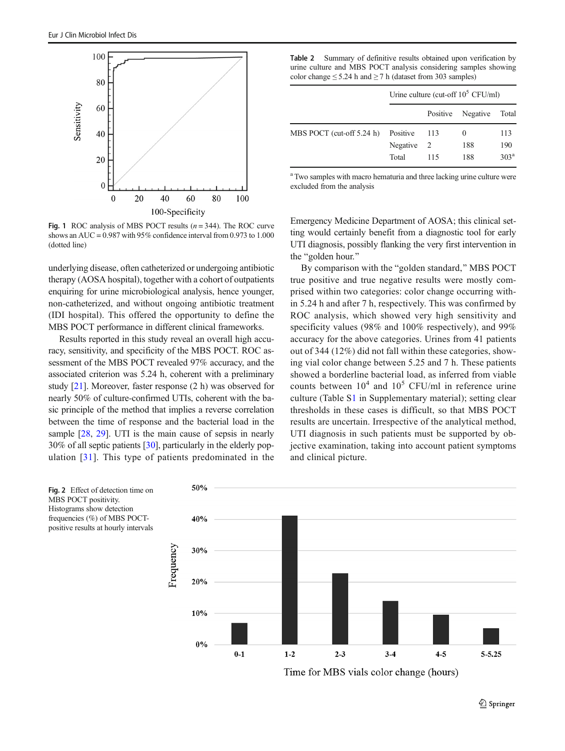<span id="page-4-0"></span>

Fig. 1 ROC analysis of MBS POCT results  $(n = 344)$ . The ROC curve shows an AUC =  $0.987$  with 95% confidence interval from 0.973 to 1.000 (dotted line)

underlying disease, often catheterized or undergoing antibiotic therapy (AOSA hospital), together with a cohort of outpatients enquiring for urine microbiological analysis, hence younger, non-catheterized, and without ongoing antibiotic treatment (IDI hospital). This offered the opportunity to define the MBS POCT performance in different clinical frameworks.

Results reported in this study reveal an overall high accuracy, sensitivity, and specificity of the MBS POCT. ROC assessment of the MBS POCT revealed 97% accuracy, and the associated criterion was 5.24 h, coherent with a preliminary study [\[21\]](#page-7-0). Moreover, faster response (2 h) was observed for nearly 50% of culture-confirmed UTIs, coherent with the basic principle of the method that implies a reverse correlation between the time of response and the bacterial load in the sample [\[28](#page-7-0), [29](#page-7-0)]. UTI is the main cause of sepsis in nearly 30% of all septic patients [[30\]](#page-7-0), particularly in the elderly population [[31](#page-7-0)]. This type of patients predominated in the

Table 2 Summary of definitive results obtained upon verification by urine culture and MBS POCT analysis considering samples showing color change  $\leq$  5.24 h and  $\geq$  7 h (dataset from 303 samples)

|                           | Urine culture (cut-off $10^5$ CFU/ml) |                |          |                  |  |
|---------------------------|---------------------------------------|----------------|----------|------------------|--|
|                           |                                       | Positive       | Negative | Total            |  |
| MBS POCT (cut-off 5.24 h) | Positive                              | 113            | $\theta$ | 113              |  |
|                           | Negative                              | $\overline{2}$ | 188      | 190              |  |
|                           | Total                                 | 115            | 188      | 303 <sup>a</sup> |  |

<sup>a</sup> Two samples with macro hematuria and three lacking urine culture were excluded from the analysis

Emergency Medicine Department of AOSA; this clinical setting would certainly benefit from a diagnostic tool for early UTI diagnosis, possibly flanking the very first intervention in the "golden hour."

By comparison with the "golden standard," MBS POCT true positive and true negative results were mostly comprised within two categories: color change occurring within 5.24 h and after 7 h, respectively. This was confirmed by ROC analysis, which showed very high sensitivity and specificity values (98% and 100% respectively), and 99% accuracy for the above categories. Urines from 41 patients out of 344 (12%) did not fall within these categories, showing vial color change between 5.25 and 7 h. These patients showed a borderline bacterial load, as inferred from viable counts between  $10^4$  and  $10^5$  CFU/ml in reference urine culture (Table S1 in Supplementary material); setting clear thresholds in these cases is difficult, so that MBS POCT results are uncertain. Irrespective of the analytical method, UTI diagnosis in such patients must be supported by objective examination, taking into account patient symptoms and clinical picture.



Time for MBS vials color change (hours)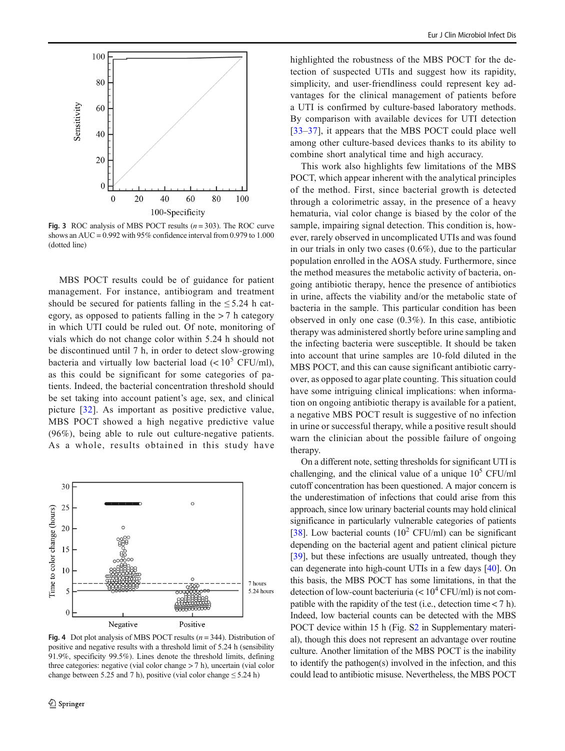<span id="page-5-0"></span>

Fig. 3 ROC analysis of MBS POCT results  $(n = 303)$ . The ROC curve shows an AUC =  $0.992$  with 95% confidence interval from 0.979 to 1.000 (dotted line)

MBS POCT results could be of guidance for patient management. For instance, antibiogram and treatment should be secured for patients falling in the  $\leq 5.24$  h category, as opposed to patients falling in the  $> 7$  h category in which UTI could be ruled out. Of note, monitoring of vials which do not change color within 5.24 h should not be discontinued until 7 h, in order to detect slow-growing bacteria and virtually low bacterial load  $(< 10^5$  CFU/ml), as this could be significant for some categories of patients. Indeed, the bacterial concentration threshold should be set taking into account patient's age, sex, and clinical picture [\[32\]](#page-7-0). As important as positive predictive value, MBS POCT showed a high negative predictive value (96%), being able to rule out culture-negative patients. As a whole, results obtained in this study have



Fig. 4 Dot plot analysis of MBS POCT results  $(n = 344)$ . Distribution of positive and negative results with a threshold limit of 5.24 h (sensibility 91.9%, specificity 99.5%). Lines denote the threshold limits, defining three categories: negative (vial color change > 7 h), uncertain (vial color change between 5.25 and 7 h), positive (vial color change  $\leq$  5.24 h)

highlighted the robustness of the MBS POCT for the detection of suspected UTIs and suggest how its rapidity, simplicity, and user-friendliness could represent key advantages for the clinical management of patients before a UTI is confirmed by culture-based laboratory methods. By comparison with available devices for UTI detection [\[33](#page-7-0)–[37\]](#page-7-0), it appears that the MBS POCT could place well among other culture-based devices thanks to its ability to combine short analytical time and high accuracy.

This work also highlights few limitations of the MBS POCT, which appear inherent with the analytical principles of the method. First, since bacterial growth is detected through a colorimetric assay, in the presence of a heavy hematuria, vial color change is biased by the color of the sample, impairing signal detection. This condition is, however, rarely observed in uncomplicated UTIs and was found in our trials in only two cases (0.6%), due to the particular population enrolled in the AOSA study. Furthermore, since the method measures the metabolic activity of bacteria, ongoing antibiotic therapy, hence the presence of antibiotics in urine, affects the viability and/or the metabolic state of bacteria in the sample. This particular condition has been observed in only one case (0.3%). In this case, antibiotic therapy was administered shortly before urine sampling and the infecting bacteria were susceptible. It should be taken into account that urine samples are 10-fold diluted in the MBS POCT, and this can cause significant antibiotic carryover, as opposed to agar plate counting. This situation could have some intriguing clinical implications: when information on ongoing antibiotic therapy is available for a patient, a negative MBS POCT result is suggestive of no infection in urine or successful therapy, while a positive result should warn the clinician about the possible failure of ongoing therapy.

On a different note, setting thresholds for significant UTI is challenging, and the clinical value of a unique  $10^5$  CFU/ml cutoff concentration has been questioned. A major concern is the underestimation of infections that could arise from this approach, since low urinary bacterial counts may hold clinical significance in particularly vulnerable categories of patients [\[38](#page-7-0)]. Low bacterial counts  $(10^2 \text{ CFU/ml})$  can be significant depending on the bacterial agent and patient clinical picture [\[39](#page-7-0)], but these infections are usually untreated, though they can degenerate into high-count UTIs in a few days [[40\]](#page-7-0). On this basis, the MBS POCT has some limitations, in that the detection of low-count bacteriuria  $(< 10<sup>4</sup> CFU/ml)$  is not compatible with the rapidity of the test (i.e., detection time  $<$  7 h). Indeed, low bacterial counts can be detected with the MBS POCT device within 15 h (Fig. S2 in Supplementary material), though this does not represent an advantage over routine culture. Another limitation of the MBS POCT is the inability to identify the pathogen(s) involved in the infection, and this could lead to antibiotic misuse. Nevertheless, the MBS POCT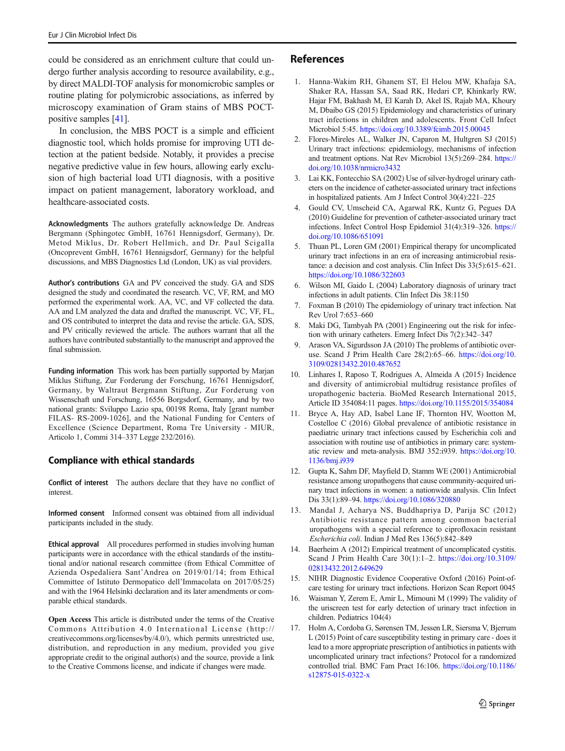<span id="page-6-0"></span>could be considered as an enrichment culture that could undergo further analysis according to resource availability, e.g., by direct MALDI-TOF analysis for monomicrobic samples or routine plating for polymicrobic associations, as inferred by microscopy examination of Gram stains of MBS POCTpositive samples [\[41\]](#page-7-0).

In conclusion, the MBS POCT is a simple and efficient diagnostic tool, which holds promise for improving UTI detection at the patient bedside. Notably, it provides a precise negative predictive value in few hours, allowing early exclusion of high bacterial load UTI diagnosis, with a positive impact on patient management, laboratory workload, and healthcare-associated costs.

Acknowledgments The authors gratefully acknowledge Dr. Andreas Bergmann (Sphingotec GmbH, 16761 Hennigsdorf, Germany), Dr. Metod Miklus, Dr. Robert Hellmich, and Dr. Paul Scigalla (Oncoprevent GmbH, 16761 Hennigsdorf, Germany) for the helpful discussions, and MBS Diagnostics Ltd (London, UK) as vial providers.

Author's contributions GA and PV conceived the study. GA and SDS designed the study and coordinated the research. VC, VF, RM, and MO performed the experimental work. AA, VC, and VF collected the data. AA and LM analyzed the data and drafted the manuscript. VC, VF, FL, and OS contributed to interpret the data and revise the article. GA, SDS, and PV critically reviewed the article. The authors warrant that all the authors have contributed substantially to the manuscript and approved the final submission.

Funding information This work has been partially supported by Marjan Miklus Stiftung, Zur Forderung der Forschung, 16761 Hennigsdorf, Germany, by Waltraut Bergmann Stiftung, Zur Forderung von Wissenschaft und Forschung, 16556 Borgsdorf, Germany, and by two national grants: Sviluppo Lazio spa, 00198 Roma, Italy [grant number FILAS- RS-2009-1026], and the National Funding for Centers of Excellence (Science Department, Roma Tre University - MIUR, Articolo 1, Commi 314–337 Legge 232/2016).

## Compliance with ethical standards

Conflict of interest The authors declare that they have no conflict of interest.

Informed consent Informed consent was obtained from all individual participants included in the study.

Ethical approval All procedures performed in studies involving human participants were in accordance with the ethical standards of the institutional and/or national research committee (from Ethical Committee of Azienda Ospedaliera Sant'Andrea on 2019/01/14; from Ethical Committee of Istituto Dermopatico dell'Immacolata on 2017/05/25) and with the 1964 Helsinki declaration and its later amendments or comparable ethical standards.

Open Access This article is distributed under the terms of the Creative Commons Attribution 4.0 International License (http:// creativecommons.org/licenses/by/4.0/), which permits unrestricted use, distribution, and reproduction in any medium, provided you give appropriate credit to the original author(s) and the source, provide a link to the Creative Commons license, and indicate if changes were made.

## References

- 1. Hanna-Wakim RH, Ghanem ST, El Helou MW, Khafaja SA, Shaker RA, Hassan SA, Saad RK, Hedari CP, Khinkarly RW, Hajar FM, Bakhash M, El Karah D, Akel IS, Rajab MA, Khoury M, Dbaibo GS (2015) Epidemiology and characteristics of urinary tract infections in children and adolescents. Front Cell Infect Microbiol 5:45. <https://doi.org/10.3389/fcimb.2015.00045>
- 2. Flores-Mireles AL, Walker JN, Caparon M, Hultgren SJ (2015) Urinary tract infections: epidemiology, mechanisms of infection and treatment options. Nat Rev Microbiol 13(5):269–284. [https://](https://doi.org/10.1038/nrmicro3432) [doi.org/10.1038/nrmicro3432](https://doi.org/10.1038/nrmicro3432)
- 3. Lai KK, Fontecchio SA (2002) Use of silver-hydrogel urinary catheters on the incidence of catheter-associated urinary tract infections in hospitalized patients. Am J Infect Control 30(4):221–225
- 4. Gould CV, Umscheid CA, Agarwal RK, Kuntz G, Pegues DA (2010) Guideline for prevention of catheter-associated urinary tract infections. Infect Control Hosp Epidemiol 31(4):319–326. [https://](https://doi.org/10.1086/651091) [doi.org/10.1086/651091](https://doi.org/10.1086/651091)
- 5. Thuan PL, Loren GM (2001) Empirical therapy for uncomplicated urinary tract infections in an era of increasing antimicrobial resistance: a decision and cost analysis. Clin Infect Dis 33(5):615–621. <https://doi.org/10.1086/322603>
- 6. Wilson MI, Gaido L (2004) Laboratory diagnosis of urinary tract infections in adult patients. Clin Infect Dis 38:1150
- 7. Foxman B (2010) The epidemiology of urinary tract infection. Nat Rev Urol 7:653–660
- 8. Maki DG, Tambyah PA (2001) Engineering out the risk for infection with urinary catheters. Emerg Infect Dis 7(2):342–347
- 9. Arason VA, Sigurdsson JA (2010) The problems of antibiotic overuse. Scand J Prim Health Care 28(2):65–66. [https://doi.org/10.](https://doi.org/10.3109/02813432.2010.487652) [3109/02813432.2010.487652](https://doi.org/10.3109/02813432.2010.487652)
- 10. Linhares I, Raposo T, Rodrigues A, Almeida A (2015) Incidence and diversity of antimicrobial multidrug resistance profiles of uropathogenic bacteria. BioMed Research International 2015, Article ID 354084:11 pages. <https://doi.org/10.1155/2015/354084>
- 11. Bryce A, Hay AD, Isabel Lane IF, Thornton HV, Wootton M, Costelloe C (2016) Global prevalence of antibiotic resistance in paediatric urinary tract infections caused by Escherichia coli and association with routine use of antibiotics in primary care: systematic review and meta-analysis. BMJ 352:i939. [https://doi.org/10.](https://doi.org/10.1136/bmj.i939) [1136/bmj.i939](https://doi.org/10.1136/bmj.i939)
- 12. Gupta K, Sahm DF, Mayfield D, Stamm WE (2001) Antimicrobial resistance among uropathogens that cause community-acquired urinary tract infections in women: a nationwide analysis. Clin Infect Dis 33(1):89–94. <https://doi.org/10.1086/320880>
- 13. Mandal J, Acharya NS, Buddhapriya D, Parija SC (2012) Antibiotic resistance pattern among common bacterial uropathogens with a special reference to ciprofloxacin resistant Escherichia coli. Indian J Med Res 136(5):842–849
- 14. Baerheim A (2012) Empirical treatment of uncomplicated cystitis. Scand J Prim Health Care 30(1):1–2. [https://doi.org/10.3109/](https://doi.org/10.3109/02813432.2012.649629) [02813432.2012.649629](https://doi.org/10.3109/02813432.2012.649629)
- 15. NIHR Diagnostic Evidence Cooperative Oxford (2016) Point-ofcare testing for urinary tract infections. Horizon Scan Report 0045
- 16. Waisman Y, Zerem E, Amir L, Mimouni M (1999) The validity of the uriscreen test for early detection of urinary tract infection in children. Pediatrics 104(4)
- 17. Holm A, Cordoba G, Sørensen TM, Jessen LR, Siersma V, Bjerrum L (2015) Point of care susceptibility testing in primary care - does it lead to a more appropriate prescription of antibiotics in patients with uncomplicated urinary tract infections? Protocol for a randomized controlled trial. BMC Fam Pract 16:106. [https://doi.org/10.1186/](https://doi.org/10.1186/s12875-015-0322-x) [s12875-015-0322-x](https://doi.org/10.1186/s12875-015-0322-x)